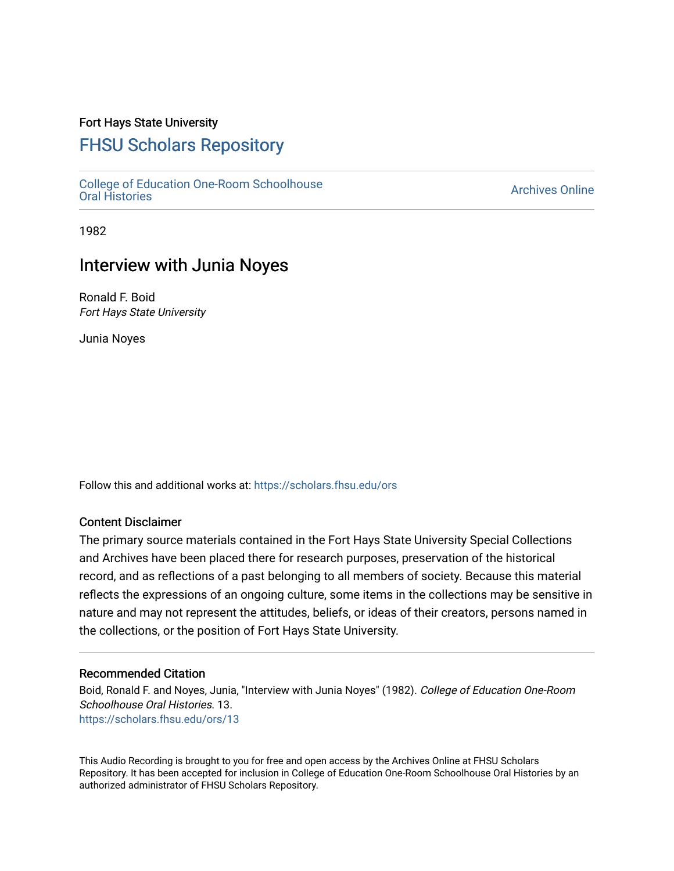## Fort Hays State University

# [FHSU Scholars Repository](https://scholars.fhsu.edu/)

[College of Education One-Room Schoolhouse](https://scholars.fhsu.edu/ors) [Oral Histories](https://scholars.fhsu.edu/ors) [Archives Online](https://scholars.fhsu.edu/archives) 

1982

# Interview with Junia Noyes

Ronald F. Boid Fort Hays State University

Junia Noyes

Follow this and additional works at: [https://scholars.fhsu.edu/ors](https://scholars.fhsu.edu/ors?utm_source=scholars.fhsu.edu%2Fors%2F13&utm_medium=PDF&utm_campaign=PDFCoverPages) 

### Content Disclaimer

The primary source materials contained in the Fort Hays State University Special Collections and Archives have been placed there for research purposes, preservation of the historical record, and as reflections of a past belonging to all members of society. Because this material reflects the expressions of an ongoing culture, some items in the collections may be sensitive in nature and may not represent the attitudes, beliefs, or ideas of their creators, persons named in the collections, or the position of Fort Hays State University.

#### Recommended Citation

Boid, Ronald F. and Noyes, Junia, "Interview with Junia Noyes" (1982). College of Education One-Room Schoolhouse Oral Histories. 13. [https://scholars.fhsu.edu/ors/13](https://scholars.fhsu.edu/ors/13?utm_source=scholars.fhsu.edu%2Fors%2F13&utm_medium=PDF&utm_campaign=PDFCoverPages)

This Audio Recording is brought to you for free and open access by the Archives Online at FHSU Scholars Repository. It has been accepted for inclusion in College of Education One-Room Schoolhouse Oral Histories by an authorized administrator of FHSU Scholars Repository.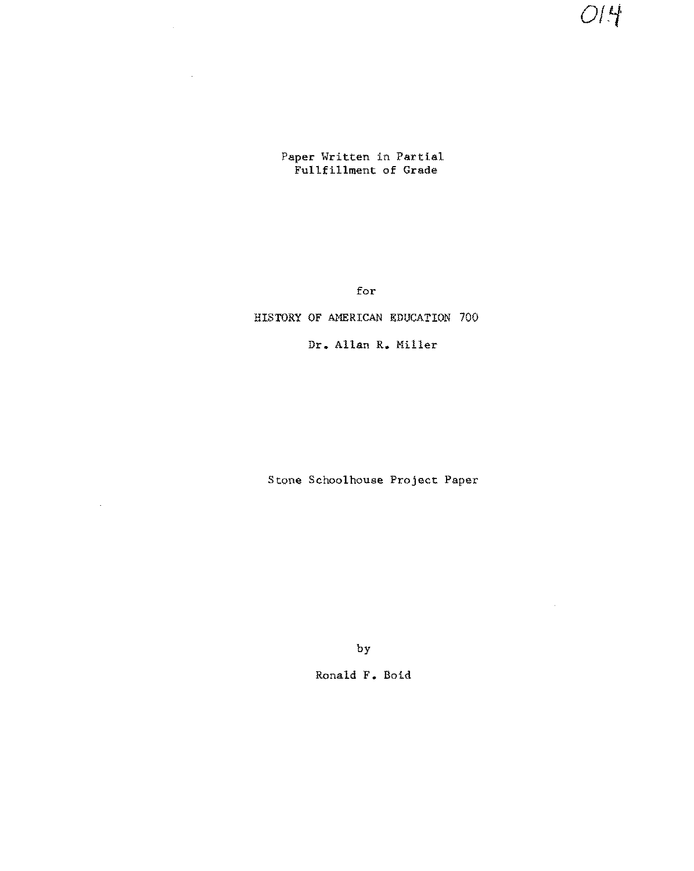$O/4$ 

 $\mathcal{A}$ 

Paper Written in Partial Fullfillment of Grade

for

### HISTORY OF AMERICAN EDUCATION 700

Dr. Allan R. Miller

Stone Schoolhouse Project Paper

 $\mathcal{L}^{\mathcal{L}}$ 

by

Ronald F. Boid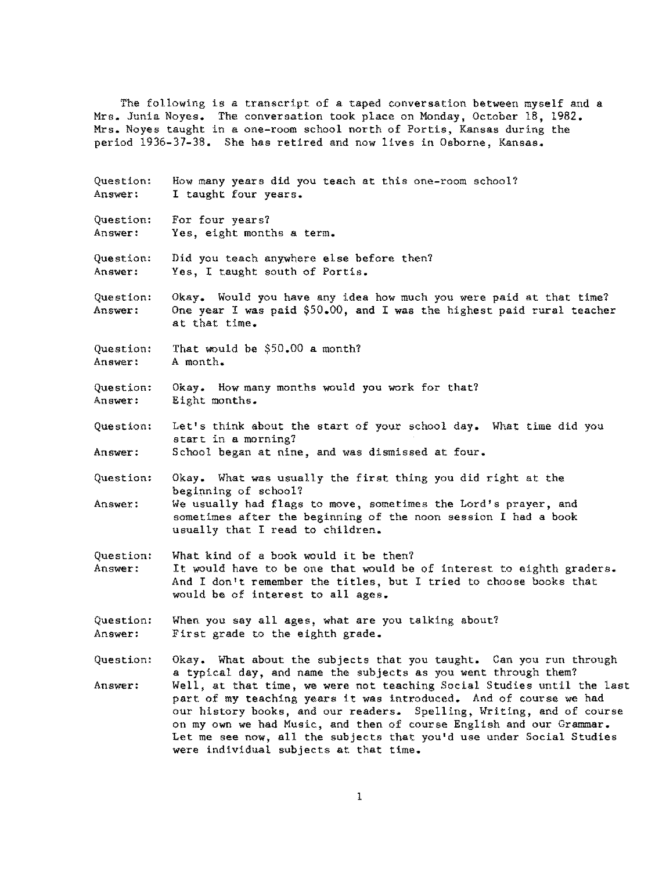The following is a transcript of a taped conversation between myself and a Mrs. Junia Noyes. The conversation took place on Monday, October 18, 1982. Mrs. Noyes taught in a one-room school north of Portis, Kansas during the period 1936-37-38. She has retired and now lives in Osborne, Kansas.

Question: Answer: Question: **Answer:**  Question: **Answer:**  Question: Answer: Question: **Answer:**  Question: **Answer:**  Question: Answer: Question: **Answer:**  Question: **Answer:**  Question: **Answer:**  Question: How many years did you teach at this one-room school? I taught four years. For four years? Yes, eight months a term. Did you teach anywhere else before then? Yes, I taught south of Portis. Okay. Would you have any idea how much you were paid at that time? One year I was paid \$50.00, and I was the highest paid rural teacher at that time. That would be \$50.00 a month? A month. Okay. How many months would you work for that? Eight months. Let's think about the start of your school day. What time did you start in a morning? School began at nine, and was dismissed at four. Okay. What was usually the first thing you did right at the beginning of school? We usually had flags to move, sometimes the Lord's prayer, and sometimes after the beginning of the noon session I had a book usually that I read to children. What kind of a book would it be then? It would have to be one that would be of interest to eighth graders. And I don't remember the titles, but I tried to choose books that would be of interest to all ages. When you say all ages, what are you talking about? First grade to the eighth grade. Okay. What about the subjects that you taught. Can you run through

Answer: a typical day, and name the subjects as you went through them? Well, at that time, we were not teaching Social Studies until the last part of my teaching years it was introduced. And of course we had our history books, and our readers. Spelling, Writing, and of course on my own we had Music, and then of course English and our Grammar. Let me see now, all the subjects that you'd use under Social Studies were individual subjects at that time.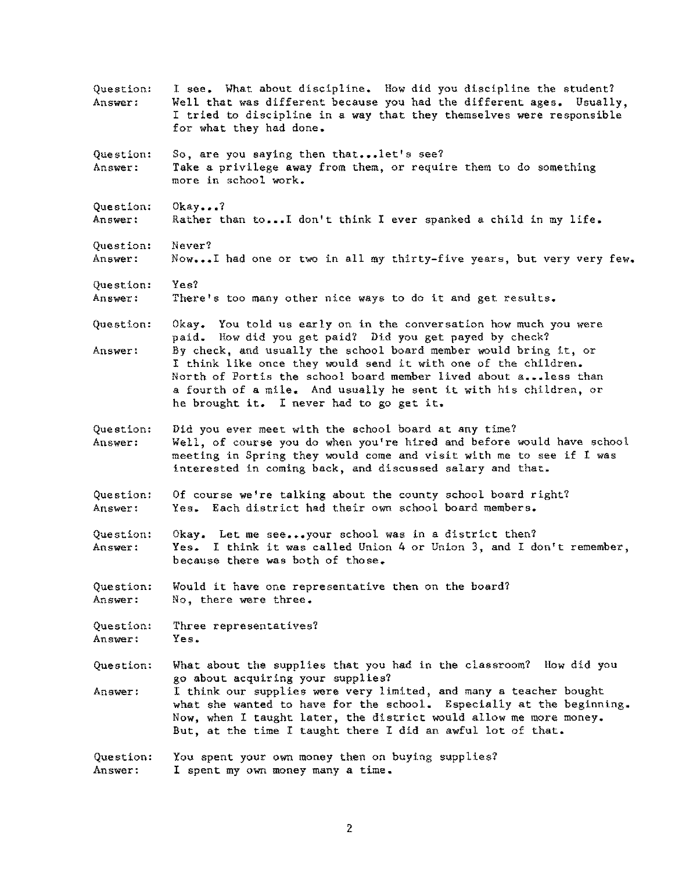| Question:<br>Answer: | I see. What about discipline. How did you discipline the student?<br>Well that was different because you had the different ages. Usually,<br>I tried to discipline in a way that they themselves were responsible<br>for what they had done.                                                                                                                                    |
|----------------------|---------------------------------------------------------------------------------------------------------------------------------------------------------------------------------------------------------------------------------------------------------------------------------------------------------------------------------------------------------------------------------|
| Question:<br>Answer: | So, are you saying then thatlet's see?<br>Take a privilege away from them, or require them to do something<br>more in school work.                                                                                                                                                                                                                                              |
| Question:<br>Answer: | $0$ kay?<br>Rather than toI don't think I ever spanked a child in my life.                                                                                                                                                                                                                                                                                                      |
| Question:<br>Answer: | Never?<br>NowI had one or two in all my thirty-five years, but very very few.                                                                                                                                                                                                                                                                                                   |
| Question:<br>Answer: | Yes?<br>There's too many other nice ways to do it and get results.                                                                                                                                                                                                                                                                                                              |
| Question:            | Okay. You told us early on in the conversation how much you were                                                                                                                                                                                                                                                                                                                |
| Answer:              | paid. How did you get paid? Did you get payed by check?<br>By check, and usually the school board member would bring it, or<br>I think like once they would send it with one of the children.<br>North of Portis the school board member lived about aless than<br>a fourth of a mile. And usually he sent it with his children, or<br>he brought it. I never had to go get it. |
| Question:<br>Answer: | Did you ever meet with the school board at any time?<br>Well, of course you do when you're hired and before would have school<br>meeting in Spring they would come and visit with me to see if I was<br>interested in coming back, and discussed salary and that.                                                                                                               |
| Question:<br>Answer: | Of course we're talking about the county school board right?<br>Yes. Each district had their own school board members.                                                                                                                                                                                                                                                          |
| Question:<br>Answer: | Okay. Let me seeyour school was in a district then?<br>Yes. I think it was called Union 4 or Union 3, and I don't remember,<br>because there was both of those.                                                                                                                                                                                                                 |
| Question:<br>Answer: | Would it have one representative then on the board?<br>No, there were three.                                                                                                                                                                                                                                                                                                    |
| Question:<br>Answer: | Three representatives?<br>Yes.                                                                                                                                                                                                                                                                                                                                                  |
| Question:            | What about the supplies that you had in the classroom? How did you                                                                                                                                                                                                                                                                                                              |
| Answer:              | go about acquiring your supplies?<br>I think our supplies were very limited, and many a teacher bought<br>what she wanted to have for the school. Especially at the beginning.<br>Now, when I taught later, the district would allow me more money.<br>But, at the time I taught there I did an awful lot of that.                                                              |
| Question:<br>Answer: | You spent your own money then on buying supplies?<br>I spent my own money many a time.                                                                                                                                                                                                                                                                                          |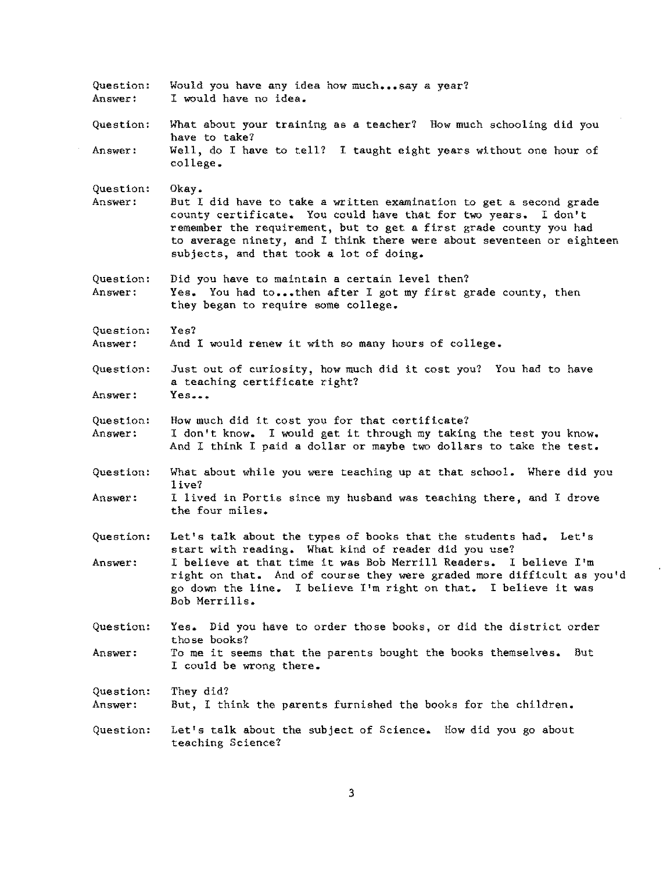| Question:<br>Answer: | Would you have any idea how muchsay a year?<br>I would have no idea.                                                                                                                                                                                                                                                                   |
|----------------------|----------------------------------------------------------------------------------------------------------------------------------------------------------------------------------------------------------------------------------------------------------------------------------------------------------------------------------------|
| Question:            | What about your training as a teacher? How much schooling did you<br>have to take?                                                                                                                                                                                                                                                     |
| Answer:              | Well, do I have to tell? I taught eight years without one hour of<br>college.                                                                                                                                                                                                                                                          |
| Question:<br>Answer: | Okay.<br>But I did have to take a written examination to get a second grade<br>county certificate. You could have that for two years. I don't<br>remember the requirement, but to get a first grade county you had<br>to average ninety, and I think there were about seventeen or eighteen<br>subjects, and that took a lot of doing. |
| Question:<br>Answer: | Did you have to maintain a certain level then?<br>Yes. You had tothen after I got my first grade county, then<br>they began to require some college.                                                                                                                                                                                   |
| Question:<br>Answer: | Yes?<br>And I would renew it with so many hours of college.                                                                                                                                                                                                                                                                            |
| Question:            | Just out of curiosity, how much did it cost you? You had to have<br>a teaching certificate right?                                                                                                                                                                                                                                      |
| Answer:              | Yes                                                                                                                                                                                                                                                                                                                                    |
| Question:<br>Answer: | How much did it cost you for that certificate?<br>I don't know. I would get it through my taking the test you know.<br>And I think I paid a dollar or maybe two dollars to take the test.                                                                                                                                              |
| Question:<br>Answer: | What about while you were teaching up at that school. Where did you<br>live?<br>I lived in Portis since my husband was teaching there, and I drove                                                                                                                                                                                     |
|                      | the four miles.                                                                                                                                                                                                                                                                                                                        |
| Question:            | Let's talk about the types of books that the students had. Let's<br>start with reading. What kind of reader did you use?                                                                                                                                                                                                               |
| Answer:              | I believe at that time it was Bob Merrill Readers. I believe I'm<br>right on that. And of course they were graded more difficult as you'd<br>go down the line. I believe I'm right on that. I believe it was<br>Bob Merrills.                                                                                                          |
| Question:            | Yes. Did you have to order those books, or did the district order<br>those books?                                                                                                                                                                                                                                                      |
| Answer:              | To me it seems that the parents bought the books themselves. But<br>I could be wrong there.                                                                                                                                                                                                                                            |
| Question:<br>Answer: | They did?<br>But, I think the parents furnished the books for the children.                                                                                                                                                                                                                                                            |
| Question:            | Let's talk about the subject of Science. How did you go about<br>teaching Science?                                                                                                                                                                                                                                                     |

3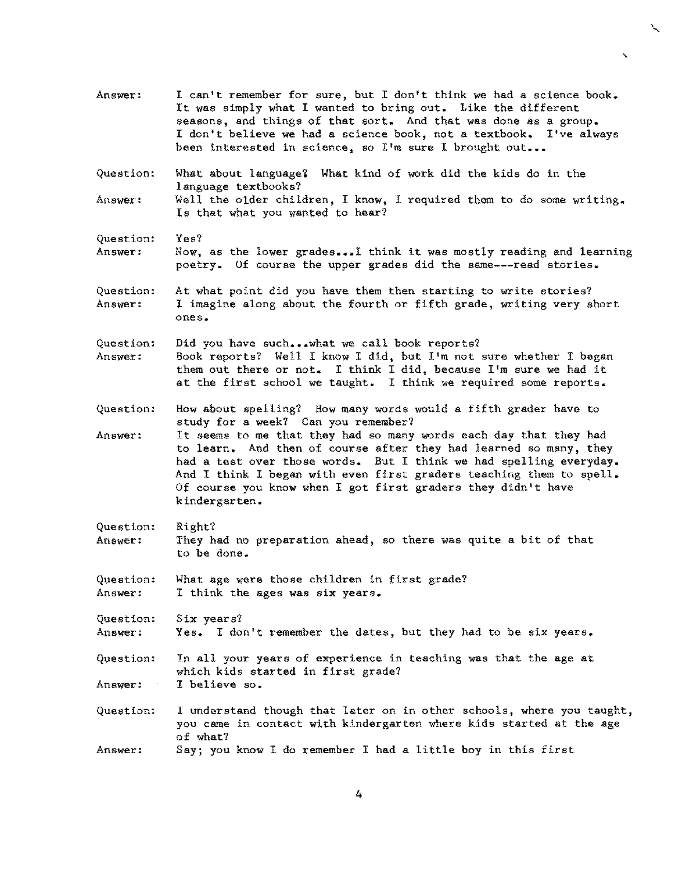Answer: I can't remember for sure, but I don't think we had a science book. It was simply what I wanted to bring out. Like the different seasons, and things of that sort. And that was done as a group. I don't believe we had a science book, not a textbook. I've always been interested in science, so I'm sure I brought out...

 $\mathbf{v}$ 

- Question: What about language? What kind of work did the kids do in the language textbooks?
- Answer: Well the older children, I know, I required them to do some writing. Is that what you wanted to hear?
- Question: Yes?
- **Answer:**  Now, as the lower grades...I think it was mostly reading and learning poetry. Of course the upper grades did the same---read stories.
- Question: Answer: At what point did you have them then starting to write stories? I imagine along about the fourth or fifth grade, writing very short **ones.**
- Question: **Answer:**  Did you have such...what we call book reports? Book reports? Well I know I did, but I'm not sure whether I began them out there or not. I think I did, because I'm sure we had it at the first school we taught. I think we required some reports.
- Question: How about spelling? How many words would a fifth grader have to study for a week? Can you remember?
- Answer: It seems to me that they had so many words each day that they had to learn. And then of course after they had learned so many, they had a test over those words. But I think we had spelling everyday. And I think I began with even first graders teaching them to spell. Of course you know when I got first graders they didn't have kindergarten.
- Question: Answer: Right? They had no preparation ahead, so there was quite a bit of that to be done.
- Question: **Answer:**  What age were those children in first grade? I think the ages was six years.
- Question: Answer: Six years? Yes. I don't remember the dates, but they had to be six years.

Question: Answer: In all your years of experience in teaching was that the age at which kids started in first grade? I believe so.

Question: **Answer:**  I understand though that later on in other schools, where you taught, you came in contact with kindergarten where kids started at the age of what? Say; you know I do remember I had a little boy in this first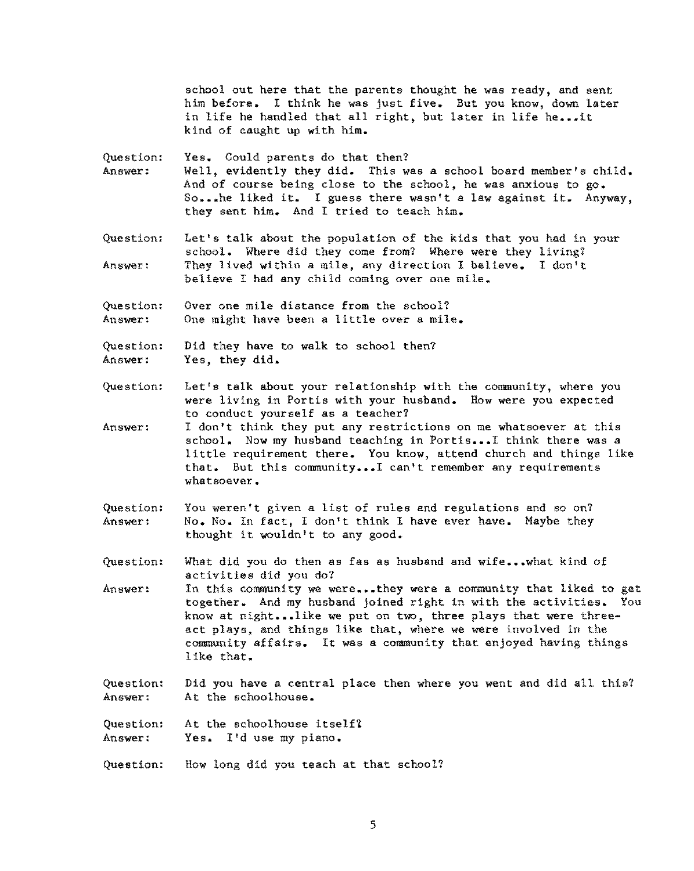school out here that the parents thought he was ready, and sent him before. 1 think he was just five. But you know, down later in life he handled that all right, but later in life he...it kind of caught up with him.

Question: Yes. Could parents do that then?

- **Answer:**  Well, evidently they did. This was a school board member's child. And of course being close to the school, he was anxious to go. So...he liked it. I guess there wasn't a law against it. Anyway, they sent him. And I tried to teach him.
- Question: **Answer~**  Let's talk about the population of the kids that you had in your school. Where did they come from? Where were they living? They lived within a mile, any direction I believe. I don't believe I had any child coming over one mile.
- Question: Answer: **Over one mile distance from the school?**  One might have been a little over a mile.
- Question: Answer: Did they have to walk to school then? Yes, they did.
- Question: Let's talk about your relationship with the community, where you were living in Portis with your husband. How were you expected to conduct yourself as a teacher?
- Answer: I don't think they put any restrictions on me whatsoever at this school. Now my husband teaching in Portis... I think there was a little requirement there. You know, attend church and things like that. But this community ••• I can't remember any requirements **whatsoever.**
- Question: Answer: You weren't given a list of rules and regulations and so on? No. No. In fact, I don't think I have ever have. Maybe they thought it wouldn't to any good.
- Question: What did you do then as fas as husband and wife...what kind of activities did you do?
- Answer: In this community we were...they were a community that liked to get together. And my husband joined right in with the activities. You know at night... like we put on two, three plays that were threeact plays, and things like that, where we were involved in the community affairs. It was a community that enjoyed having things like that.
- Question: Answer: Did you have a central place then where you went and did all this? At the schoolhouse.
- Question: At the schoolhouse itself?
- **Answer:**  Yes. I'd use my piano.
- Question: How long did you teach at that school?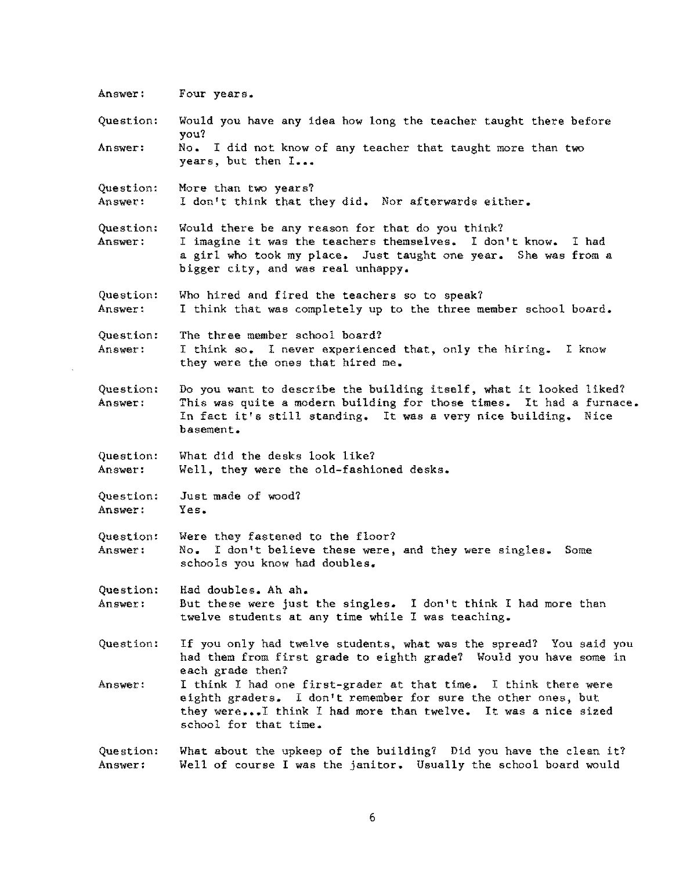Answer: Question: **Answer:**  Question: Answer: Question: **Answer:**  Question: Answer: Question: Answer: Question: Answer: Question: **Answer:**  Question: Answer: Question: Answer: Question: Answer: Question: Answer: Question: Answer: **Four years.**  Would you have any idea how long the teacher taught there before you? No. I did not know of any teacher that taught more than two **years, but then** I ••• More than two years? I don't think that they did. Nor afterwards either. Would there be any reason for that do you think? I imagine it was the teachers themselves. I don't know. I had a girl who took my place. Just taught one year. She was from a bigger city, and was real unhappy. Who hired and fired the teachers so to speak? I think that was completely up to the three member school board. The three member school board? I think so. I never experienced that, only the hiring. I know they were the ones that hired me. Do you want to describe the building itself, what it looked liked? This was quite a modern building for those times. It had a furnace. In fact it's still standing. It was a very nice building. Nice **basement.**  What did the desks look like? Well, they were the old-fashioned desks. Just made of wood? **Yes.**  Were they fastened to the floor? No. I don't believe these were, and they were singles. Some schools you know had doubles. Had doubles. Ah ah. But these were just the singles. I don't think I had more than twelve students at any time while I was teaching. If you only had twelve students, what was the spread? You said you had them from first grade to eighth grade? Would you have some in each grade then? I think I had one first-grader at that time. I think there were eighth graders. I don't remember for sure the other ones, but they were...I think I had more than twelve. It was a nice sized school for that time. What about the upkeep of the building? Did you have the clean it? Well of course I was the janitor. Usually the school board would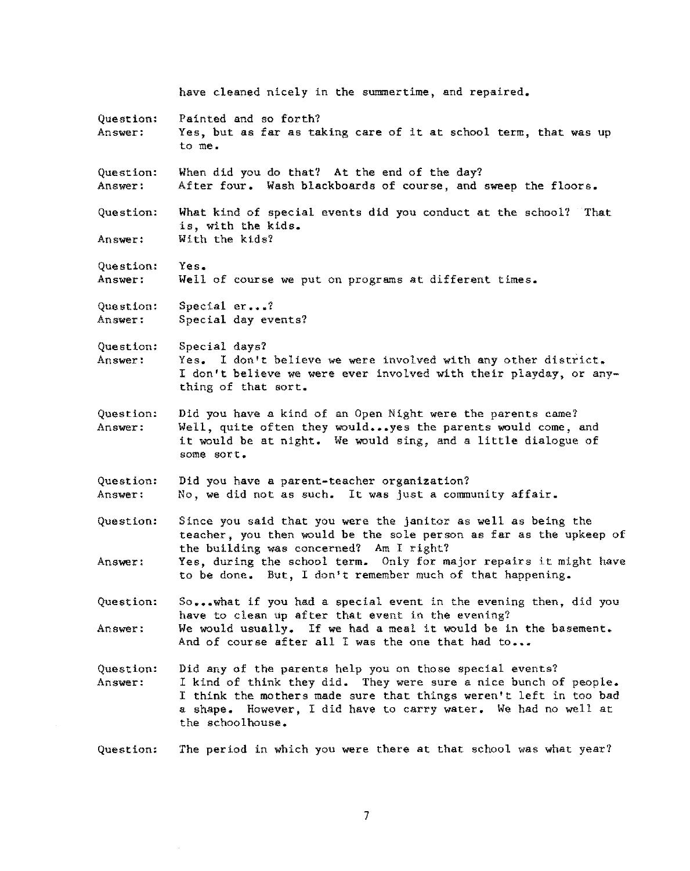Question: **Answer:**  Question: **Answer:**  Question: **Answer:**  Question: **Answer:**  Question: Answer: Question: **Answer:**  Question: **Answer:**  Question: **Answer:**  Question: Answer: Question: **Answer:**  Question: Answer: have cleaned nicely in the summertime, and repaired. Painted and so forth? Yes, but as far as taking care of it at school term, that was up to me. When did you do that? At the end of the day? After four. Wash blackboards of course, and sweep the floors. What kind of special events did you conduct at the school? That is, with the kids. With the kids? **Yes.**  Well of course we put on programs at different times. Special *er ••• 1*  Special day events? Special days? Yes. I don't believe we were involved with any other district. I don't believe we were ever involved with their playday, or anything of that sort. Did you have a kind of an Open Night were the parents came? Well, quite often they would...yes the parents would come, and it would be at night. We would sing, and a little dialogue of **some sort.**  Did you have a parent-teacher organization? No, we did not as such. It was just a community affair. Since you said that you were the janitor as well as being the teacher, you then would be the sole person as far as the upkeep of the building was concerned? Am I right? Yes, during the school term. Only for major repairs it might have to be done. But, I don't remember much of that happening. So... what if you had a special event in the evening then, did you have to clean up after that event in the evening? We would usually. If we had a meal it would be in the basement. And of course after all I was the one that had to... Did any of the parents help you on those special events? I kind of think they did. They were sure a nice bunch of people. I think the mothers made sure that things weren't left in too bad a shape. However, I did have to carry water. We had no well at the schoolhouse.

Question: The period in which you were there at that school was what year?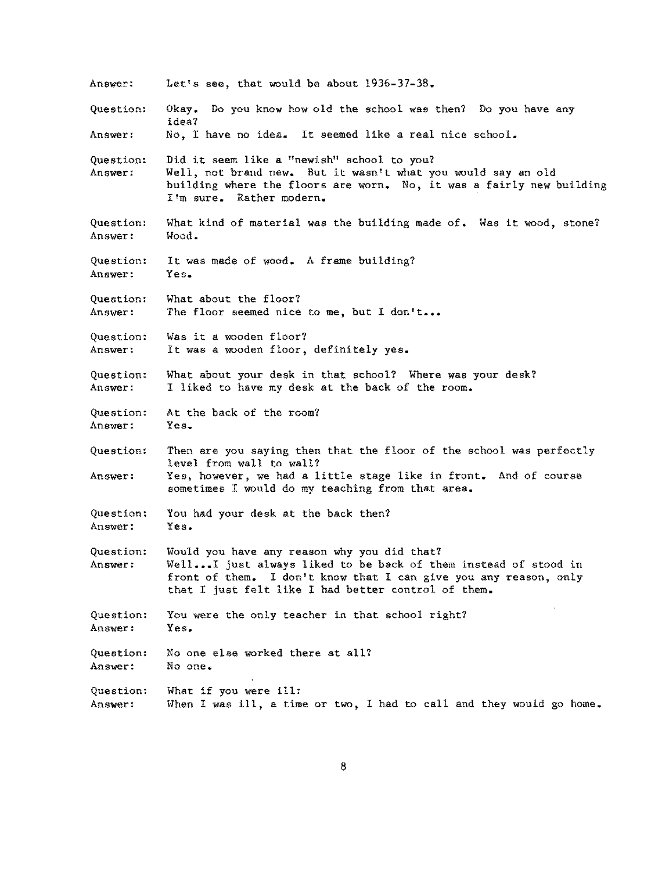Answer: Question: Answer: Question: **Answer:**  Question: **Answer:**  Question: **Answer:**  Question: **Answer:**  Question: **Answer:**  Question: **Answer:**  Question: **Answer:**  Question: **Answer:**  Question: **Answer:**  Question: Answer: Question: Answer: Question: **Answer:**  Question: **Answer:**  Let's see, that would be about 1936-37-38. Okay. Do you know how old the school was then? Do you have any **idea?**  No, I have no idea. It seemed like a real nice school. Did it seem like a "newish" school to you? Well, not brand new. But it wasn't what you would say an old building where the floors are worn. No, it was a fairly new building I'm sure. Rather modern. What kind of material was the building made of. Was it wood, stone? Wood. It was made of wood. A frame building? **Yes.**  What about the floor? The floor seemed nice to me, but I don't... Was it a wooden floor? It was a wooden floor, definitely yes. What about your desk in that school? Where was your desk? I liked to have my desk at the back of the room. At the back of the room? Yes. Then are you saying then that the floor of the school was perfectly level from wall to wall? Yes, however, we had a little stage like in front. And of course sometimes I would do my teaching from that area. You had your desk at the back then? **Yes.**  Would you have any reason why you did that? Well...I just always liked to be back of them instead of stood in front of them. I don't know that I can give you any reason, only that I just felt like I had better control of them. You were the only teacher in that school right? **Yes.**  No one else worked there at all? **No one.**  What if you were ill: When I was ill, a time or two, I had to call and they would go home.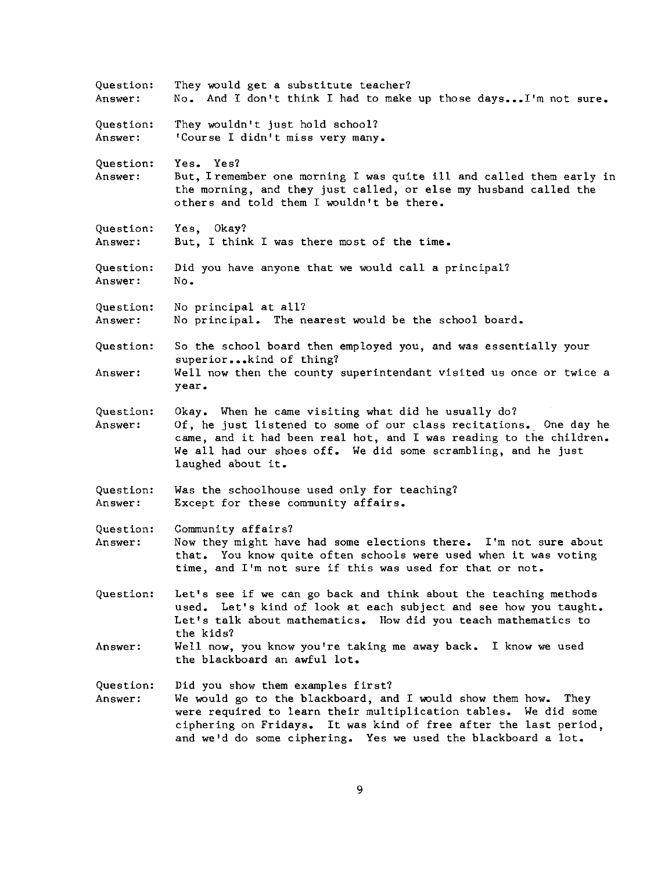| Question:<br>Answer: | They would get a substitute teacher?<br>No. And I don't think I had to make up those days I'm not sure.                                                                                                                                                                                                     |
|----------------------|-------------------------------------------------------------------------------------------------------------------------------------------------------------------------------------------------------------------------------------------------------------------------------------------------------------|
| Question:<br>Answer: | They wouldn't just hold school?<br>'Course I didn't miss very many.                                                                                                                                                                                                                                         |
| Question:<br>Answer: | Yes. Yes?<br>But, I remember one morning I was quite ill and called them early in<br>the morning, and they just called, or else my husband called the<br>others and told them I wouldn't be there.                                                                                                          |
| Question:<br>Answer: | Yes, Okay?<br>But. I think I was there most of the time.                                                                                                                                                                                                                                                    |
| Question:<br>Answer: | Did you have anyone that we would call a principal?<br>No.                                                                                                                                                                                                                                                  |
| Question:<br>Answer: | No principal at all?<br>No principal. The nearest would be the school board.                                                                                                                                                                                                                                |
| Question:<br>Answer: | So the school board then employed you, and was essentially your<br>superiorkind of thing?<br>Well now then the county superintendant visited us once or twice a<br>year.                                                                                                                                    |
| Question:<br>Answer: | Okay. When he came visiting what did he usually do?<br>Of, he just listened to some of our class recitations. One day he<br>came, and it had been real hot, and I was reading to the children.<br>We all had our shoes off. We did some scrambling, and he just<br>laughed about it.                        |
| Question:<br>Answer: | Was the schoolhouse used only for teaching?<br>Except for these community affairs.                                                                                                                                                                                                                          |
| Question:<br>Answer: | Community affairs?<br>Now they might have had some elections there. I'm not sure about<br>that. You know quite often schools were used when it was voting<br>time, and I'm not sure if this was used for that or not.                                                                                       |
| Question:            | Let's see if we can go back and think about the teaching methods<br>used. Let's kind of look at each subject and see how you taught.<br>Let's talk about mathematics. How did you teach mathematics to<br>the kids?                                                                                         |
| Answer:              | Well now, you know you're taking me away back. I know we used<br>the blackboard an awful lot.                                                                                                                                                                                                               |
| Question:<br>Answer: | Did you show them examples first?<br>We would go to the blackboard, and I would show them how. They<br>were required to learn their multiplication tables. We did some<br>ciphering on Fridays. It was kind of free after the last period,<br>and we'd do some ciphering. Yes we used the blackboard a lot. |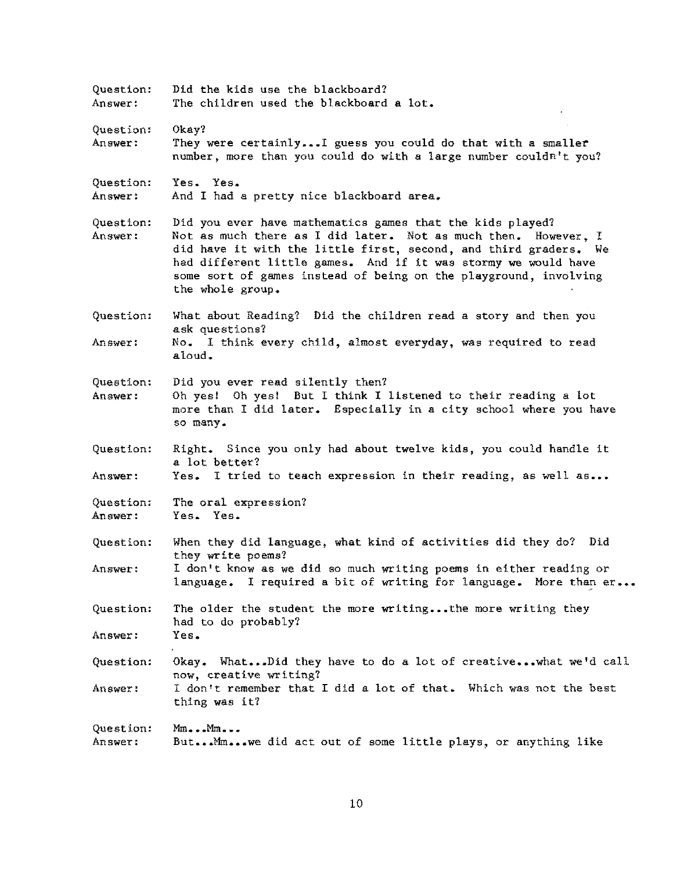Question: Answer: Question: Answer: Question: Answer: Question: Answer: Question: **Answer:**  Question: Answer: Question: Answer: Question: Answer: Question: Answer: Question: Answer: Question: Answer: Question: Answer: Did the kids use the blackboard? The children used the blackboard a lot. Okay? They were certainly...I guess you could do that with a smaller number, more than you could do with a large number couldn't you? Yes. Yes. And I had a pretty nice blackboard area. Did you ever have mathematics games that the kids played? Not as much there as I did later. Not as much then. However, I did have it with the little first, second, and third graders. We had different little games. And if it was stormy we would have some sort of games instead of being on the playground, involving the whole group. What about Reading? Did the children read a story and then you ask questions? No. I think every child, almost everyday, was required to read aloud. Did you ever read silently then? Oh yes! Oh yes! But I think I listened to their reading a lot **more than**  I did later. Especially in a city school where you have **so many.**  Right. Since you only had about twelve kids, you could handle it a lot better? Yes. I tried to teach expression in their reading, as well as... The oral expression? Yes. Yes. When they did language, what kind of activities did they do? Did they write poems? I don't know as we did so much writing poems in either reading or language. I required a bit of writing for language. More than er... The older the student the more writing... the more writing they had to do probably? **Yes.**  Okay. What...Did they have to do a lot of creative...what we'd call **now, creative writing?**  I don't remember that I did a lot of that. Which was not the best thing was it? **1-hn ••• t1In ....**  But ••• Mm ••• we did act out of some little plays, or anything like

10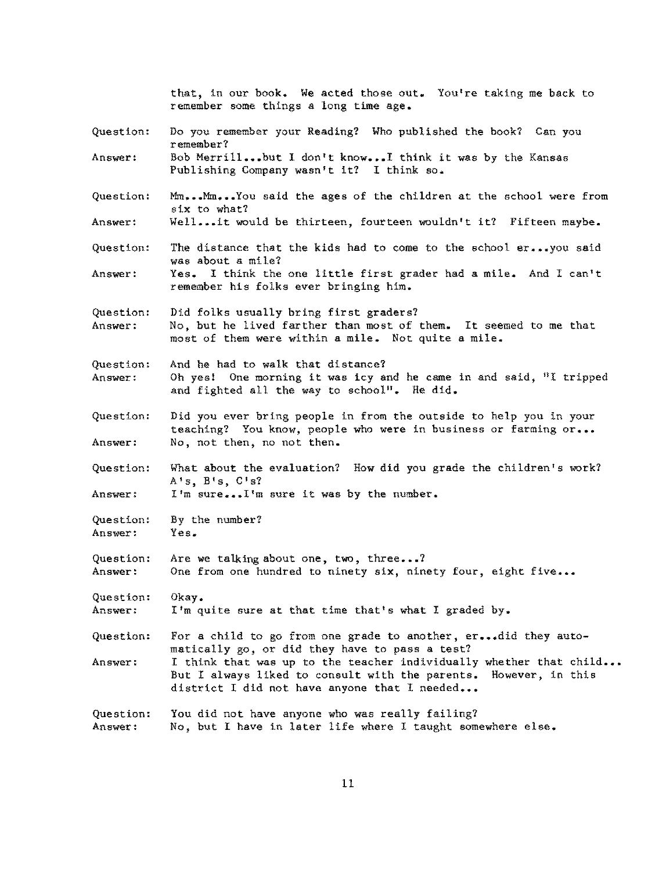Question: **Answer: Question: Answer:**  Question: **Answer:**  Question: **Answer:**  Question: **Answer:**  Question: **Answer: Question: Answer:**  Question: **Answer:**  Question: Answer: Question: **Answer:**  Question: **Answer:**  Question: Answer: that, in our book. We acted those out. You're taking me back to remember some things a long time age. Do you remember your Reading? Who published the book? Can you **remember?**  Bob Merrill...but I don't know...I think it was by the Kansas Publishing Company wasn't it? I think so. Mm...Mm...You said the ages of the children at the school were from six to what? Well...it would be thirteen, fourteen wouldn't it? Fifteen maybe. The distance that the kids had to come to the school er...you said was about a mile? Yes. I think the one little first grader had a mile. And I can't remember his folks ever bringing him. Did folks usually bring first graders? No, but he lived farther than most of them. It seemed to me that most of them were within a mile. Not quite a mile. And he had to walk that distance? Oh yes! One morning it was icy and he came in and said, "I tripped and fighted all the way to school". He did. Did you ever bring people in from the outside to help you in your teaching? You know, people who **were** in business or farming or ••• No, not then, no not then. What about the evaluation? How did you grade the children's work? A's, **B•s, C <sup>1</sup> s?**  I'm sure ••• I'm sure it was by the number. By the number? Yes. Are we talking about one, two, three...? One from one hundred to ninety six, ninety four, eight five... Okay. I'm quite sure at that time that's what I graded by. For a child to go from one grade to another,  $er$ ...did they automatically go, or did they have to pass a test? I think that was up to the teacher individually whether that child... But I always liked to consult with the parents. However, in this district I did not have anyone that I needed... You did not have anyone who was really failing? No, but I have in later life where I taught somewhere else.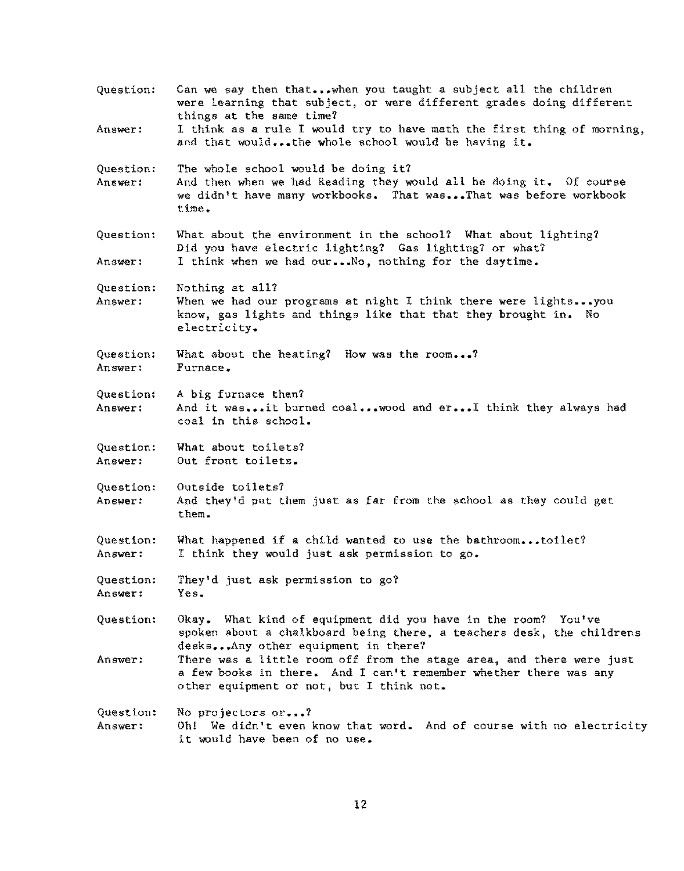| Question:            | Can we say then thatwhen you taught a subject all the children<br>were learning that subject, or were different grades doing different<br>things at the same time?                                                         |
|----------------------|----------------------------------------------------------------------------------------------------------------------------------------------------------------------------------------------------------------------------|
| Answer:              | I think as a rule I would try to have math the first thing of morning,<br>and that wouldthe whole school would be having it.                                                                                               |
| Question:<br>Answer: | The whole school would be doing it?<br>And then when we had Reading they would all be doing it. Of course<br>we didn't have many workbooks. That wasThat was before workbook<br>time.                                      |
| Question:<br>Answer: | What about the environment in the school? What about lighting?<br>Did you have electric lighting? Gas lighting? or what?<br>I think when we had ourNo, nothing for the daytime.                                            |
| Question:<br>Answer: | Nothing at all?<br>When we had our programs at night I think there were lightsyou<br>know, gas lights and things like that that they brought in. No<br>electricity.                                                        |
| Question:<br>Answer: | What about the heating? How was the room?<br>Furnace.                                                                                                                                                                      |
| Question:<br>Answer: | A big furnace then?<br>And it wasit burned coalwood and erI think they always had<br>coal in this school.                                                                                                                  |
| Question:<br>Answer: | What about toilets?<br>Out front toilets.                                                                                                                                                                                  |
| Question:<br>Answer: | Outside toilets?<br>And they'd put them just as far from the school as they could get<br>them.                                                                                                                             |
| Question:<br>Answer: | What happened if a child wanted to use the bathroomtoilet?<br>I think they would just ask permission to go.                                                                                                                |
| Question:<br>Answer: | They'd just ask permission to go?<br>Yes.                                                                                                                                                                                  |
| Question:            | Okay. What kind of equipment did you have in the room? You've<br>spoken about a chalkboard being there, a teachers desk, the childrens                                                                                     |
| Answer:              | desksAny other equipment in there?<br>There was a little room off from the stage area, and there were just<br>a few books in there. And I can't remember whether there was any<br>other equipment or not, but I think not. |
| Question:<br>Answer: | No projectors or?<br>Oh! We didn't even know that word. And of course with no electricity<br>it would have been of no use.                                                                                                 |

12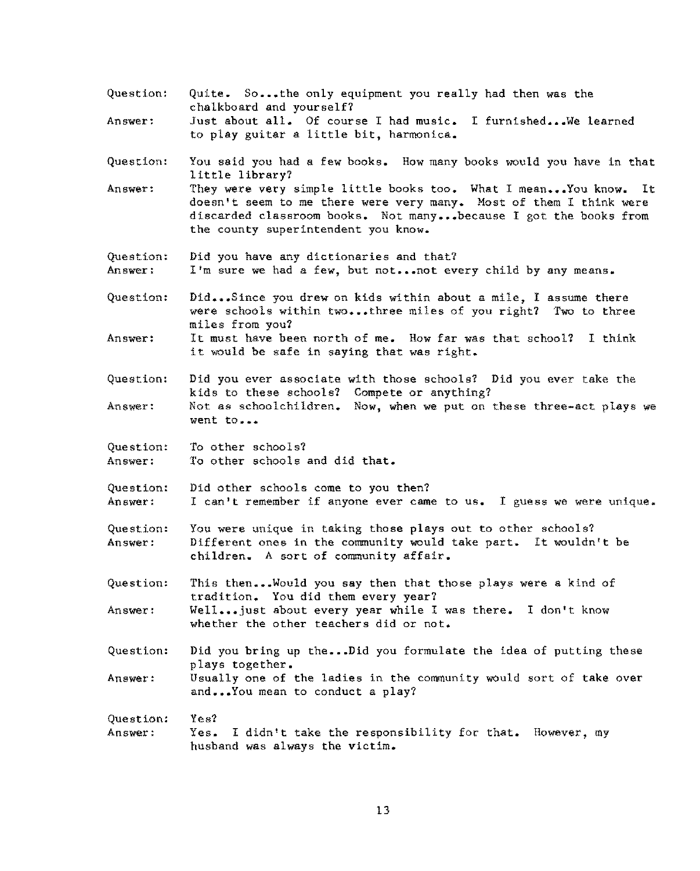- Question: Quite. So...the only equipment you really had then was the chalkboard and yourself?
- **Answer:**  Just about all. Of course I had music. I furnished... We learned to play guitar a little bit, harmonica.
- Question: You said you had a few books. How many books would you have in that little library?
- Answer: They were very simple little books too. What I mean...You know. It doesn't seem to me there were very many. Most of them I think were discarded classroom books. Not many ••• because I got the books from the county superintendent you know.
- Question: Did you have any dictionaries and that?
- **Answer:**  I'm sure we had a few, but not... not every child by any means.
- Question: Did ••• Since you drew on kids within about a mile, I assume there were schools within two...three miles of you right? Two to three miles from you?
- **Answer:**  It must have been north of me. How far was that school? I think it must have been not in of me. How far was<br>it would be safe in saying that was right.
- Question: **Did you ever associate**  with those schools? Did you ever take the kids to these schools? Compete or anything?
- Answer: Not as schoolchildren. Now, when we put on these three-act plays we **went to •••**
- Question: **Answer:**  To other schools? To other schools and did that.

Yes?

- Question: Answer: Did other schools come to you then? **I can't remember if anyone ever came to us. I guess we were unique.**
- Question: Answer: You were unique in taking those plays out to other schools? Different ones in the community would take part. It wouldn't be children. A sort of community affair.
- Question: Answer: This then...Would you say then that those plays were a kind of tradition. You did them every year? Well...just about every year while I was there. I don't know whether the other teachers did or not.
- Question: Answer: Did you bring up the...Did you formulate the idea of putting these plays together. Usually one of the ladies in the community would sort of take over
- **and ••• You mean to conduct a play?**
- Question: Answer: Yes. I didn't take the responsibility for that. However, my husband was always the victim.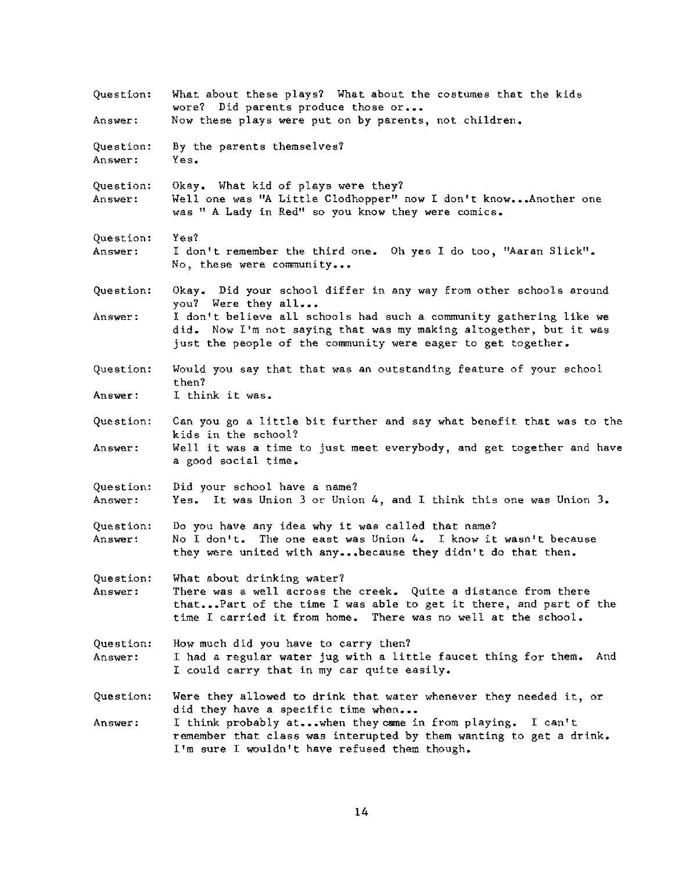Question: **Answer:**  Question: **Answer:**  Question: Answer: Question: **Answer:**  Question: **Answer:**  Question: Answer: Question: Answer: Question: **Answer:**  Question: **Answer: Question: Answer:**  Question: **Answer:**  Question: Answer: What about these plays? What about the costumes that the kids wore? Did parents produce those or... Now these plays were put on by parents, not children. By the parents themselves? **Yes.**  Okay. What kid of plays were they? Well one was "A Little Clodhopper" now I don't know...Another one was " A Lady in Red" so you know they were comics. Yes? I don't remember the third one. Oh yes I do too, "Aaran Slick". No, **these were community •••**  Okay. Did your school differ in any way from other schools around you? Were they all... I don't believe all schools had such a connnunity gathering like we did. Now I'm not saying that was my making altogether, but it was just the people of the community were eager to get together. Would you say that that was an outstanding feature of your school then? I think it was. Can you go a little bit further and say what benefit that was to the kids in the school? Well it was a time to just meet everybody, and get together and have a good social time. Did your school have a name? Yes. It was Union 3 or Union 4, and I think this one was Union 3. Do you have any idea why it was called that name? No I don't. The one east was Union 4. I know it wasn't because they were united with any ••• because they didn't do that then. What about drinking water? There was a well across the creek. Quite a distance from there that ••• Part of the time I was able to get it there, and part of the time I carried it from home. There was no well at the school. How much did you have to carry then? I had a regular water jug with a little faucet thing for them. And I could carry that in my car quite easily. Were they allowed to drink that water whenever they needed it, or did they have a specific time when... I think probably at...when they came in from playing. I can't remember that class was interupted by them wanting to get a drink. I'm sure I wouldn't have refused them though.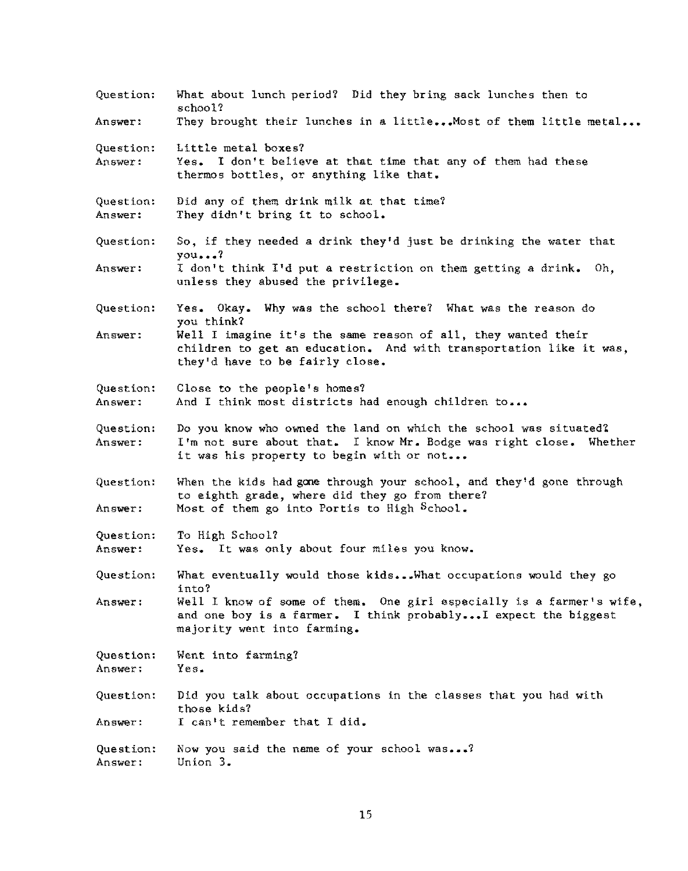| Question:            | What about lunch period? Did they bring sack lunches then to<br>school?                                                                                                            |
|----------------------|------------------------------------------------------------------------------------------------------------------------------------------------------------------------------------|
| Answer:              | They brought their lunches in a little Most of them little metal                                                                                                                   |
| Question:<br>Answer: | Little metal boxes?<br>Yes. I don't believe at that time that any of them had these<br>thermos bottles, or anything like that.                                                     |
| Question:<br>Answer: | Did any of them drink milk at that time?<br>They didn't bring it to school.                                                                                                        |
| Question:            | So, if they needed a drink they'd just be drinking the water that<br>you?                                                                                                          |
| Answer:              | I don't think I'd put a restriction on them getting a drink.<br>Oh,<br>unless they abused the privilege.                                                                           |
| Question:            | Yes. Okay. Why was the school there? What was the reason do<br>you think?                                                                                                          |
| Answer:              | Well I imagine it's the same reason of all, they wanted their<br>children to get an education. And with transportation like it was,<br>they'd have to be fairly close.             |
| Question:<br>Answer: | Close to the people's homes?<br>And I think most districts had enough children to                                                                                                  |
| Question:<br>Answer: | Do you know who owned the land on which the school was situated?<br>I'm not sure about that. I know Mr. Bodge was right close. Whether<br>it was his property to begin with or not |
| Question:<br>Answer: | When the kids had gone through your school, and they'd gone through<br>to eighth grade, where did they go from there?<br>Most of them go into Portis to High School.               |
| Question:<br>Answer: | To High School?<br>Yes. It was only about four miles you know.                                                                                                                     |
| Question:            | What eventually would those kidsWhat occupations would they go<br>into?                                                                                                            |
| Answer:              | Well I know of some of them. One girl especially is a farmer's wife,<br>and one boy is a farmer. I think probably I expect the biggest<br>majority went into farming.              |
| Question:<br>Answer: | Went into farming?<br>Yes.                                                                                                                                                         |
| Question:            | Did you talk about occupations in the classes that you had with<br>those kids?                                                                                                     |
| Answer:              | I can't remember that I did.                                                                                                                                                       |
| Question:<br>Answer: | Now you said the name of your school was?<br>Union 3.                                                                                                                              |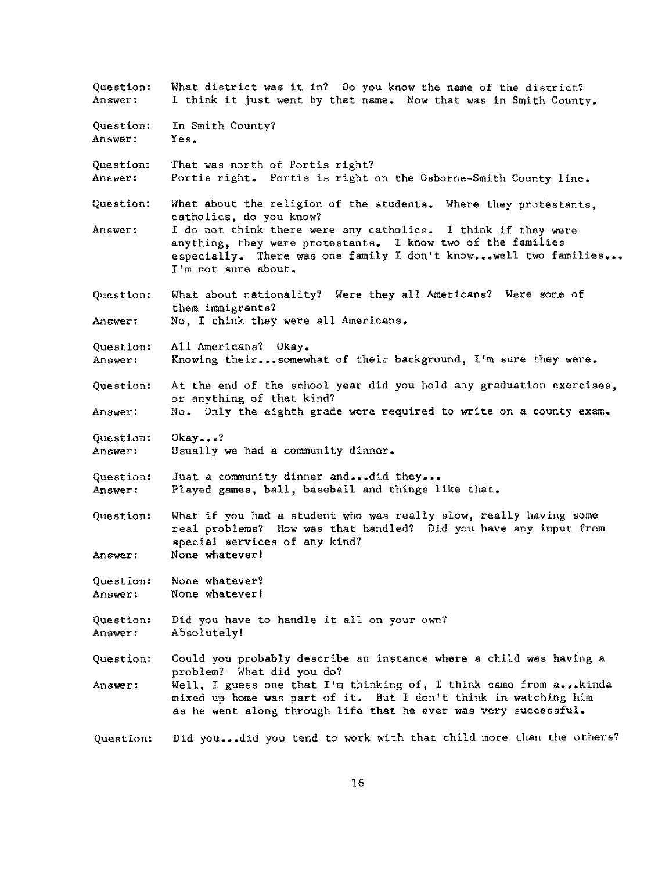Question: **Answer:**  Question: Answer: Question: **Answer:**  Question: **Answer:**  Question: **Answer:**  Question: Answer: Question: **Answer:**  Question: Answer: Question: **Answer:**  Question: **Answer:**  Question: Answer: Question: Answer: Question: Answer: Question: What district was it in? Do you know the name of the district? I think it just went by that name. Now that was in Smith County. In Smith County? **Yes.**  That was north of Portis right? Portis right. Portis is right on the Osborne-Smith County line. What about the religion of the students. Where they protestants, catholics, do you know? I do not think there were any catholics. I think if they were anything, they were protestants. I know two of the families especially. There was one family I don't know...well two families... I 1m **not sure about.**  What about nationality? Were they all Americans? Were some of them immigrants? No, I think they were all Americans. All Americans? Okay. Knowing their ••• somewhat of their background, I'm sure they were. At the end of the school year did you hold any graduation exercises, or anything of that kind? No. Only the eighth grade were required to write on a county exam. **Okay •••** *'l*  Usually we had a community dinner. Just a community dinner and...did they... Played games, ball, baseball and things like that. What if you had a student who was really slow, really having some real problems? How was that handled? Did you have any input from special services of any kind? None whatever! None whatever? None whatever! Did you have to handle it all on your own? Absolutely! Could you probably describe an instance where a child was having a problem? What did you do? Well, I guess one that I'm thinking of, I think came from  $a_{***}$ kinda mixed up home was part of it. But I don't think in watching him as he went along through life that he ever was very successful. Did you...did you tend to work with that child more than the others?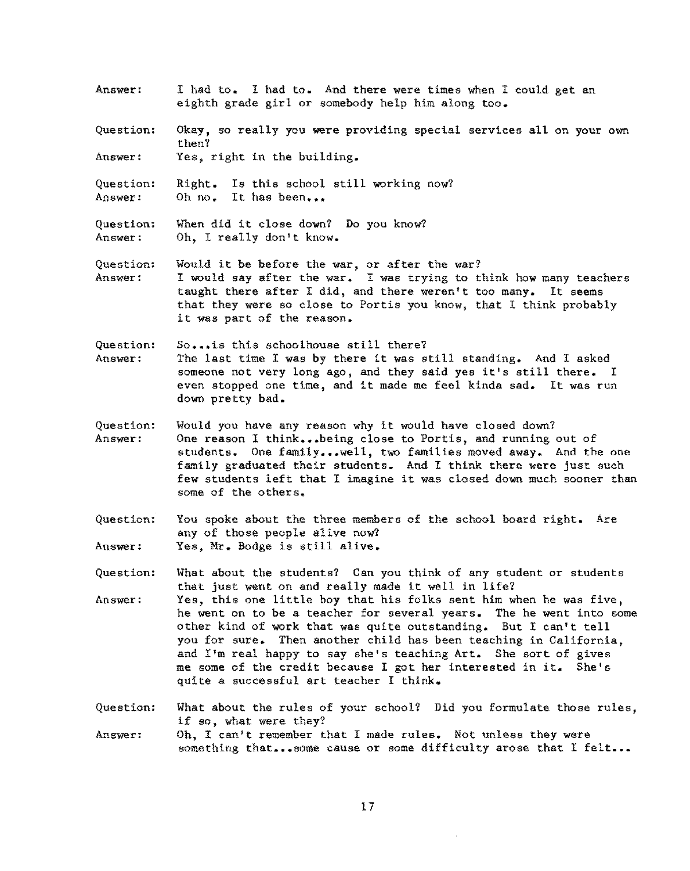- **Answer:**  I had to. I had to. And there were times when I could get an eighth grade girl or somebody help him along too.
- Question: Okay, so really you were providing special services all on your own then?
- **Answer:**  Yes, right in the building.

Question: Answer: Right. Is this school still working now? Oh no. It has been...

Question: **Answer:**  When did it close dawn? Do you know? Oh, I really don't know.

Question: **Answer:**  Would it be before the war, or after the war? I would say after the war. I was trying to think how many teachers taught there after I did, and there weren't too many. It seems that they were so close to Portis you know, that I think probably it was part of the reason.

**Question:**  Answer: So... is this schoolhouse still there? The last time I was by there it was still standing. And I asked someone not very long ago, and they said yes it's still there. I even stopped one time, and it made me feel kinda sad. It was run down pretty bad.

- Question: **Answer:**  Would you have any reason why it would have closed down? One reason I think...being close to Portis, and running out of students. One family...well, two families moved away. And the one family graduated their students. And I think there were just such few students left that I imagine it was closed down much sooner than some of the others.
- Question: Answer: You spoke about the three members of the school board right. Are any of those people alive now? Yes, Mr. Bodge is still alive.
- Question: What about the students? Can you think of any student or students that just went on and really made it well in life?
- Answer: Yes, this one little boy that his folks sent him when he was five, he went on to be a teacher for several years. The he went into some other kind of work that was quite outstanding. But I can't tell you for sure. Then another child has been teaching in California, and I'm real happy to say she's teaching Art. She sort of gives me some of the credit because I got her interested in it. She's quite a successful art teacher I think.

Question: What about the rules of your school? Did you formulate those rules, if so, what were they?

Answer: Oh, I can't remember that I made rules. Not unless they were something that...some cause or some difficulty arose that I felt...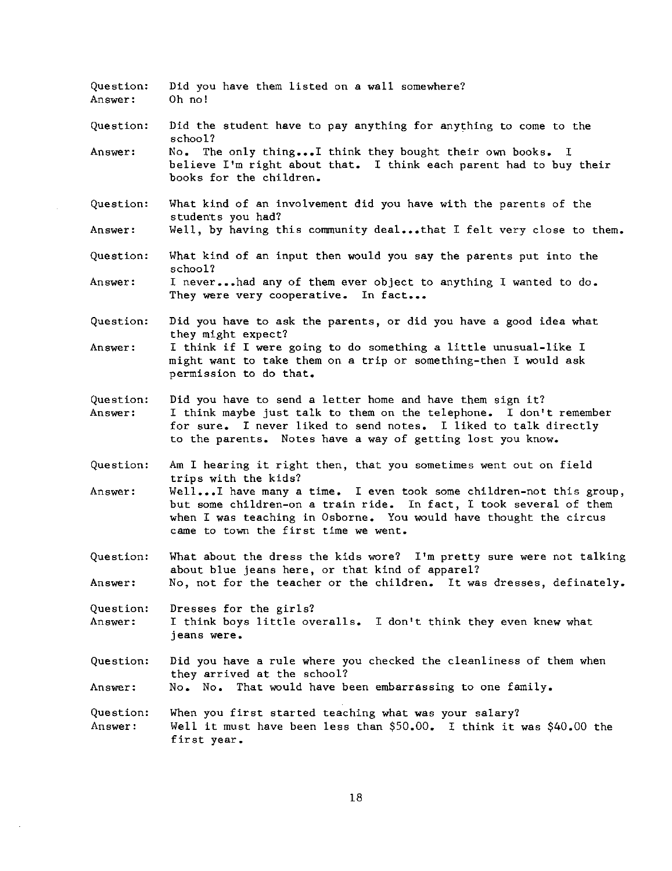| Question:<br>Answer: | Did you have them listed on a wall somewhere?<br>Oh no!                                                                                                                                                                                                          |
|----------------------|------------------------------------------------------------------------------------------------------------------------------------------------------------------------------------------------------------------------------------------------------------------|
| Question:            | Did the student have to pay anything for anything to come to the<br>school?                                                                                                                                                                                      |
| Answer:              | No. The only thingI think they bought their own books. I<br>believe I'm right about that. I think each parent had to buy their<br>books for the children.                                                                                                        |
| Question:            | What kind of an involvement did you have with the parents of the<br>students you had?                                                                                                                                                                            |
| Answer:              | Well, by having this community dealthat I felt very close to them.                                                                                                                                                                                               |
| Question:            | What kind of an input then would you say the parents put into the<br>school?                                                                                                                                                                                     |
| Answer:              | I neverhad any of them ever object to anything I wanted to do.<br>They were very cooperative. In fact                                                                                                                                                            |
| Question:            | Did you have to ask the parents, or did you have a good idea what<br>they might expect?                                                                                                                                                                          |
| Answer:              | I think if I were going to do something a little unusual-like I<br>might want to take them on a trip or something-then I would ask<br>permission to do that.                                                                                                     |
| Question:<br>Answer: | Did you have to send a letter home and have them sign it?<br>I think maybe just talk to them on the telephone. I don't remember<br>for sure. I never liked to send notes. I liked to talk directly<br>to the parents. Notes have a way of getting lost you know. |
| Question:            | Am I hearing it right then, that you sometimes went out on field<br>trips with the kids?                                                                                                                                                                         |
| Answer:              | WellI have many a time. I even took some children-not this group,<br>but some children-on a train ride. In fact, I took several of them<br>when I was teaching in Osborne. You would have thought the circus<br>came to town the first time we went.             |
| Question:            | What about the dress the kids wore? I'm pretty sure were not talking<br>about blue jeans here, or that kind of apparel?                                                                                                                                          |
| Answer:              | No, not for the teacher or the children. It was dresses, definately.                                                                                                                                                                                             |
| Question:<br>Answer: | Dresses for the girls?<br>I think boys little overalls. I don't think they even knew what<br>jeans were.                                                                                                                                                         |
| Question:<br>Answer: | Did you have a rule where you checked the cleanliness of them when<br>they arrived at the school?<br>No. No. That would have been embarrassing to one family.                                                                                                    |
| Question:<br>Answer: | When you first started teaching what was your salary?<br>Well it must have been less than \$50.00. I think it was \$40.00 the<br>first year.                                                                                                                     |

 $\sim 10^6$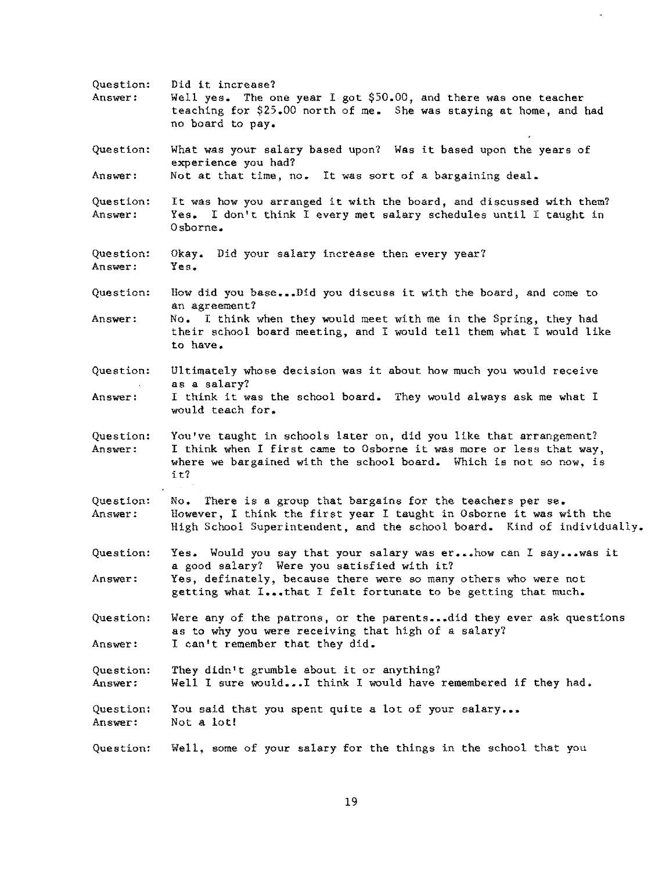| Question:<br>Answer: | Did it increase?<br>Well yes. The one year I got \$50.00, and there was one teacher<br>teaching for \$25.00 north of me. She was staying at home, and had<br>no board to pay.                                       |
|----------------------|---------------------------------------------------------------------------------------------------------------------------------------------------------------------------------------------------------------------|
| Question:            | What was your salary based upon? Was it based upon the years of<br>experience you had?                                                                                                                              |
| Answer:              | Not at that time, no. It was sort of a bargaining deal.                                                                                                                                                             |
| Question:<br>Answer: | It was how you arranged it with the board, and discussed with them?<br>Yes. I don't think I every met salary schedules until I taught in<br>$0$ sborne.                                                             |
| Question:<br>Answer: | Okay. Did your salary increase then every year?<br>Yes.                                                                                                                                                             |
| Question:            | How did you baseDid you discuss it with the board, and come to<br>an agreement?                                                                                                                                     |
| Answer:              | No. I think when they would meet with me in the Spring, they had<br>their school board meeting, and I would tell them what I would like<br>to have.                                                                 |
| Question:            | Ultimately whose decision was it about how much you would receive<br>as a salary?                                                                                                                                   |
| Answer:              | I think it was the school board. They would always ask me what I<br>would teach for.                                                                                                                                |
| Question:<br>Answer: | You've taught in schools later on, did you like that arrangement?<br>I think when I first came to Osborne it was more or less that way,<br>where we bargained with the school board. Which is not so now, is<br>it? |
| Question:<br>Answer: | No. There is a group that bargains for the teachers per se.<br>However, I think the first year I taught in Osborne it was with the<br>High School Superintendent, and the school board. Kind of individually.       |
| Question:            | Yes. Would you say that your salary was er how can I say was it<br>a good salary? Were you satisfied with it?                                                                                                       |
| Answer:              | Yes, definately, because there were so many others who were not<br>getting what Ithat I felt fortunate to be getting that much.                                                                                     |
| Question:<br>Answer: | Were any of the patrons, or the parentsdid they ever ask questions<br>as to why you were receiving that high of a salary?<br>I can't remember that they did.                                                        |
| Question:<br>Answer: | They didn't grumble about it or anything?                                                                                                                                                                           |
| Question:<br>Answer: | Well I sure wouldI think I would have remembered if they had.<br>You said that you spent quite a lot of your salary<br>Not a lot!                                                                                   |
| Question:            | Well, some of your salary for the things in the school that you                                                                                                                                                     |

 $\sim$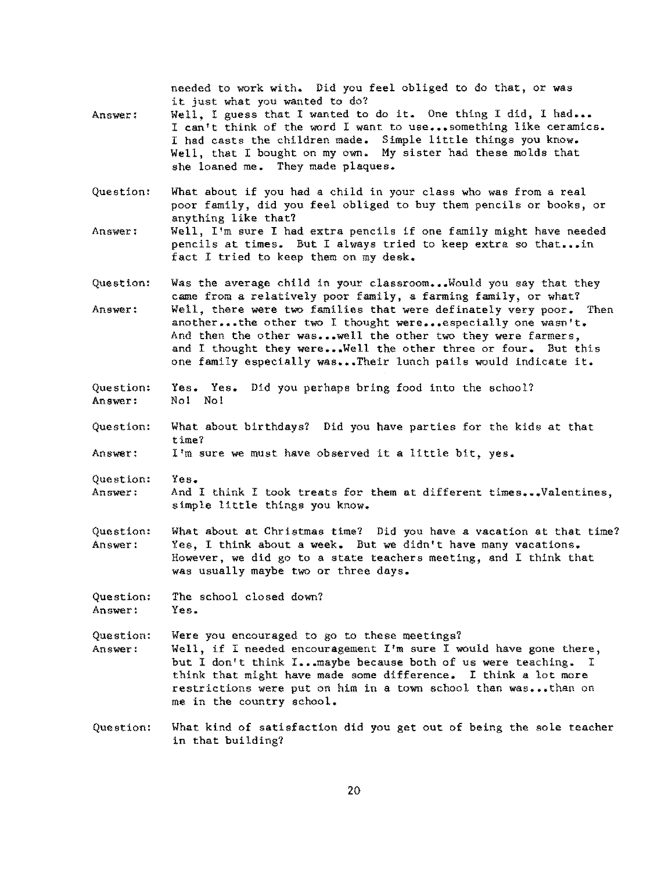needed to work with. Did you feel obliged to do that, or was it just what you wanted to do?

- Answer: Well, I guess that I wanted to do it. One thing I did. I had... I can't think of the word I want to use...something like ceramics. I had casts the children made. Simple little things you know. Well, that I bought on my own. My sister had these molds that she loaned me. They made plaques.
- Question: What about if you had a child in your class who was from a real poor family, did you feel obliged to buy them pencils or books, or anything like that?
- **Answer:**  Well, I'm sure I had extra pencils if one family might have needed pencils at times. But I always tried to keep extra so that...in fact I tried to keep them on my desk.
- Question: Answer: Was the average child in your classroom...Would you say that they came from a relatively poor family, a farming family, or what? Well, there were two families that were definately very poor. Then another...the other two I thought were...especially one wasn't. And then the other was...well the other two they were farmers. and I thought they were...Well the other three or four. But this one family especially was...Their lunch pails would indicate it.
- Question: Answer: Yes. Yes. Did you perhaps bring food into the school? No! No!
- Question: What about birthdays? Did you have parties for the kids at that time?

Answer: I'm sure we must have observed it a little bit, yes.

- Question: **Answer: Yes.**  And I think I took treats for them at different times...Valentines, simple little things you know.
- Question: Answer: What about at Christmas time? Did you have a vacation at that time? Yes, I think about a week. But we didn't have many vacations. However, we did go to a state teachers meeting, and I think that was usually maybe two or three days.

Question: Answer: The school closed down? Yes.

Question: Answer: Were you encouraged to go to these meetings? Well, if I needed encouragement I'm sure I would have gone there, but I don't think I... maybe because both of us were teaching. think that might have made some difference. I think a lot more restrictions were put on him in a town school than was...than on me in the country school.

Question: What kind of satisfaction did you get out of being the sole teacher in that building?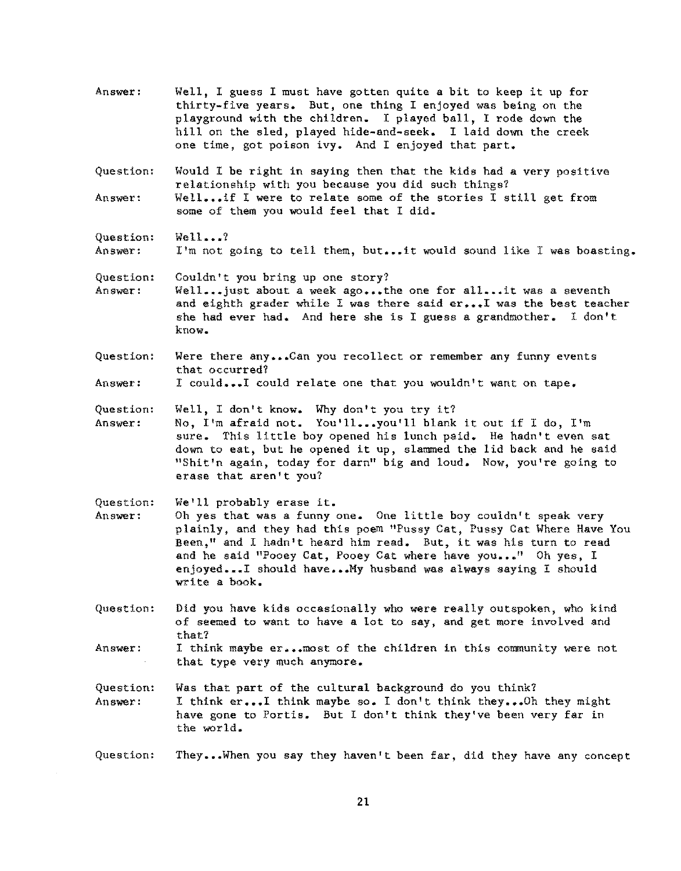Answer: Well, I guess I must have gotten quite a bit to keep it up for thirty-five years. But, one thing I enjoyed was being on the playground with the children. I played ball, I rode down the hill on the sled, played hide-and-seek. I laid down the creek one time, got poison ivy. And I enjoyed that part.

Question: Answer: Would I be right in saying then that the kids had a very positive relationship with you because you did such things? Well...if I were to relate some of the stories I still get from some of them you would feel that I did.

Question: Answer:  $Well$ ...? I'm not going to tell them, but...it would sound like I was boasting.

Question: Answer: Couldn't you bring up one story? Well...just about a week ago...the one for all...it was a seventh and eighth grader while I was there said er... I was the best teacher she had ever had. And here she is I guess a grandmother. 1 don't know.

Question: Were there any...Can you recollect or remember any funny events that occurred?

Answer: I could... I could relate one that you wouldn't want on tape.

Question: Well, I don't know. Why don't you try it?

Answer: No, I'm afraid not. You'll ••• you'll blank it out if I do, I'm sure. This little boy opened his lunch paid. He hadn't even sat down to eat, but he opened it up, slammed the lid back and he said<br>"Shit'n again, today for darn" big and loud. Now, you're going to **erase that aren't you?**  "Shit'n again, today for darn" big and loud. Now, you're going to

Question: We'll probably erase it.

Answer: Oh yes that was a funny one. One little boy couldn't speak very plainly, and they had this poem "Pussy Cat, Pussy Cat Where Have You Been," and I hadn't heard him read. But, it was his turn to read and he said "Pooey Cat, Pooey Cat where have you..." Oh yes, I enjoyed...I should have... My husband was always saying I should write a book.

Question: Did you have kids occasionally who were really outspoken, who kind of seemed to want to have a lot to say, and get more involved and that?

**Answer:**  I think maybe er... most of the children in this community were not that type very much anymore.

Question: Answer: Was that part of the cultural background do you think? I think er... I think maybe so. I don't think they... Oh they might have gone to Portis. But I don't think they've been very far in the world.

Question: They ••• When you say they haven't been far, did they have any concept